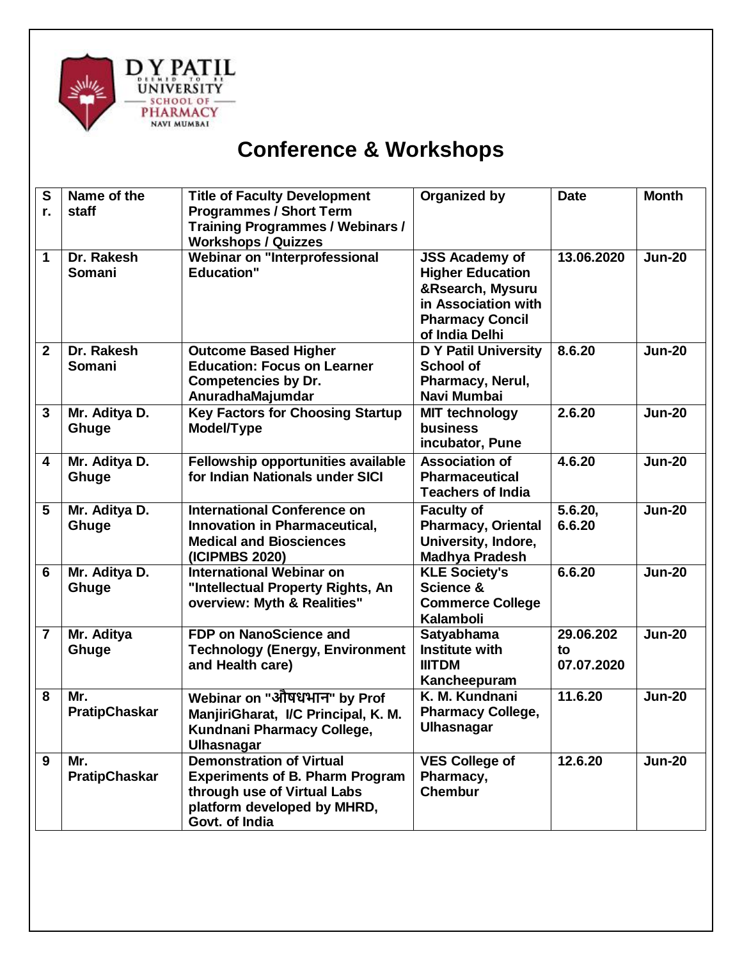

## **Conference & Workshops**

| S<br>r.        | Name of the<br>staff        | <b>Title of Faculty Development</b><br><b>Programmes / Short Term</b><br><b>Training Programmes / Webinars /</b><br><b>Workshops / Quizzes</b>            | Organized by                                                                                                                            | <b>Date</b>                   | <b>Month</b>  |
|----------------|-----------------------------|-----------------------------------------------------------------------------------------------------------------------------------------------------------|-----------------------------------------------------------------------------------------------------------------------------------------|-------------------------------|---------------|
| 1              | Dr. Rakesh<br>Somani        | Webinar on "Interprofessional<br><b>Education"</b>                                                                                                        | <b>JSS Academy of</b><br><b>Higher Education</b><br>&Rsearch, Mysuru<br>in Association with<br><b>Pharmacy Concil</b><br>of India Delhi | 13.06.2020                    | <b>Jun-20</b> |
| $\overline{2}$ | Dr. Rakesh<br>Somani        | <b>Outcome Based Higher</b><br><b>Education: Focus on Learner</b><br><b>Competencies by Dr.</b><br>AnuradhaMajumdar                                       | <b>D Y Patil University</b><br><b>School of</b><br>Pharmacy, Nerul,<br>Navi Mumbai                                                      | 8.6.20                        | <b>Jun-20</b> |
| 3              | Mr. Aditya D.<br>Ghuge      | <b>Key Factors for Choosing Startup</b><br>Model/Type                                                                                                     | <b>MIT technology</b><br><b>business</b><br>incubator, Pune                                                                             | 2.6.20                        | <b>Jun-20</b> |
| 4              | Mr. Aditya D.<br>Ghuge      | Fellowship opportunities available<br>for Indian Nationals under SICI                                                                                     | <b>Association of</b><br><b>Pharmaceutical</b><br><b>Teachers of India</b>                                                              | 4.6.20                        | <b>Jun-20</b> |
| 5              | Mr. Aditya D.<br>Ghuge      | <b>International Conference on</b><br><b>Innovation in Pharmaceutical,</b><br><b>Medical and Biosciences</b><br>(ICIPMBS 2020)                            | <b>Faculty of</b><br>Pharmacy, Oriental<br>University, Indore,<br><b>Madhya Pradesh</b>                                                 | 5.6.20,<br>6.6.20             | <b>Jun-20</b> |
| 6              | Mr. Aditya D.<br>Ghuge      | <b>International Webinar on</b><br>"Intellectual Property Rights, An<br>overview: Myth & Realities"                                                       | <b>KLE Society's</b><br>Science &<br><b>Commerce College</b><br><b>Kalamboli</b>                                                        | 6.6.20                        | <b>Jun-20</b> |
| $\overline{7}$ | Mr. Aditya<br>Ghuge         | <b>FDP on NanoScience and</b><br><b>Technology (Energy, Environment</b><br>and Health care)                                                               | <b>Satyabhama</b><br><b>Institute with</b><br><b>IIITDM</b><br>Kancheepuram                                                             | 29.06.202<br>to<br>07.07.2020 | <b>Jun-20</b> |
| 8              | Mr.<br><b>PratipChaskar</b> | Webinar on "औषधभान" by Prof<br>ManjiriGharat, I/C Principal, K. M.<br>Kundnani Pharmacy College,<br><b>Ulhasnagar</b>                                     | K. M. Kundnani<br><b>Pharmacy College,</b><br>Ulhasnagar                                                                                | 11.6.20                       | <b>Jun-20</b> |
| 9              | Mr.<br><b>PratipChaskar</b> | <b>Demonstration of Virtual</b><br><b>Experiments of B. Pharm Program</b><br>through use of Virtual Labs<br>platform developed by MHRD,<br>Govt. of India | <b>VES College of</b><br>Pharmacy,<br><b>Chembur</b>                                                                                    | 12.6.20                       | <b>Jun-20</b> |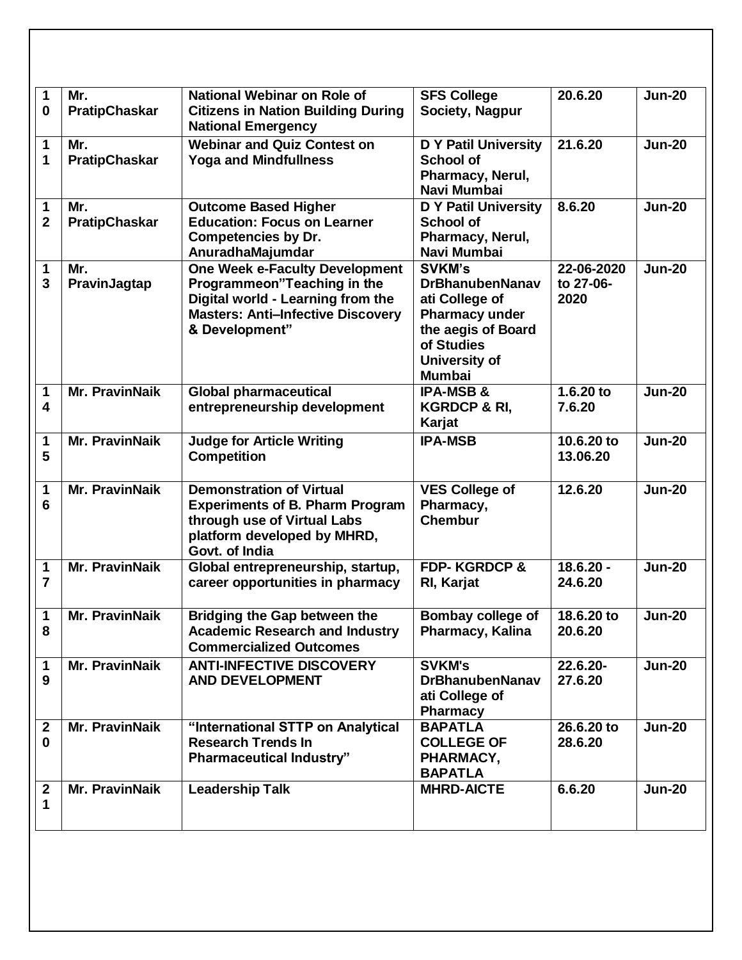| 1                       | Mr.                   | <b>National Webinar on Role of</b>                                     | <b>SFS College</b>                          | 20.6.20     | <b>Jun-20</b> |
|-------------------------|-----------------------|------------------------------------------------------------------------|---------------------------------------------|-------------|---------------|
| 0                       | <b>PratipChaskar</b>  | <b>Citizens in Nation Building During</b><br><b>National Emergency</b> | Society, Nagpur                             |             |               |
| 1                       | Mr.                   | <b>Webinar and Quiz Contest on</b>                                     | <b>D Y Patil University</b>                 | 21.6.20     | <b>Jun-20</b> |
| 1                       | <b>PratipChaskar</b>  | <b>Yoga and Mindfullness</b>                                           | <b>School of</b>                            |             |               |
|                         |                       |                                                                        | Pharmacy, Nerul,                            |             |               |
|                         |                       |                                                                        | Navi Mumbai                                 |             |               |
| 1                       | Mr.                   | <b>Outcome Based Higher</b>                                            | <b>D Y Patil University</b>                 | 8.6.20      | <b>Jun-20</b> |
| $\overline{2}$          | <b>PratipChaskar</b>  | <b>Education: Focus on Learner</b>                                     | <b>School of</b>                            |             |               |
|                         |                       | <b>Competencies by Dr.</b>                                             | Pharmacy, Nerul,                            |             |               |
|                         |                       | AnuradhaMajumdar                                                       | Navi Mumbai                                 |             |               |
| 1                       | Mr.                   | <b>One Week e-Faculty Development</b>                                  | <b>SVKM's</b>                               | 22-06-2020  | <b>Jun-20</b> |
| 3                       | PravinJagtap          | Programmeon"Teaching in the                                            | <b>DrBhanubenNanav</b>                      | to 27-06-   |               |
|                         |                       | Digital world - Learning from the                                      | ati College of                              | 2020        |               |
|                         |                       | <b>Masters: Anti-Infective Discovery</b>                               | <b>Pharmacy under</b><br>the aegis of Board |             |               |
|                         |                       | & Development"                                                         | of Studies                                  |             |               |
|                         |                       |                                                                        | University of                               |             |               |
|                         |                       |                                                                        | <b>Mumbai</b>                               |             |               |
| 1                       | <b>Mr. PravinNaik</b> | <b>Global pharmaceutical</b>                                           | <b>IPA-MSB &amp;</b>                        | $1.6.20$ to | <b>Jun-20</b> |
| $\overline{\mathbf{4}}$ |                       | entrepreneurship development                                           | <b>KGRDCP &amp; RI,</b>                     | 7.6.20      |               |
|                         |                       |                                                                        | Karjat                                      |             |               |
| 1                       | <b>Mr. PravinNaik</b> | <b>Judge for Article Writing</b>                                       | <b>IPA-MSB</b>                              | 10.6.20 to  | <b>Jun-20</b> |
| 5                       |                       | <b>Competition</b>                                                     |                                             | 13.06.20    |               |
|                         |                       |                                                                        |                                             |             |               |
| 1                       | <b>Mr. PravinNaik</b> | <b>Demonstration of Virtual</b>                                        | <b>VES College of</b>                       | 12.6.20     | <b>Jun-20</b> |
| 6                       |                       | <b>Experiments of B. Pharm Program</b>                                 | Pharmacy,                                   |             |               |
|                         |                       | through use of Virtual Labs                                            | <b>Chembur</b>                              |             |               |
|                         |                       | platform developed by MHRD,                                            |                                             |             |               |
|                         |                       | Govt. of India                                                         |                                             |             |               |
| 1                       | <b>Mr. PravinNaik</b> | Global entrepreneurship, startup,                                      | <b>FDP-KGRDCP &amp;</b>                     | $18.6.20 -$ | <b>Jun-20</b> |
| 7                       |                       | career opportunities in pharmacy                                       | RI, Karjat                                  | 24.6.20     |               |
|                         |                       |                                                                        |                                             |             |               |
| 1                       | <b>Mr. PravinNaik</b> | <b>Bridging the Gap between the</b>                                    | Bombay college of                           | 18.6.20 to  | <b>Jun-20</b> |
| 8                       |                       | <b>Academic Research and Industry</b>                                  | Pharmacy, Kalina                            | 20.6.20     |               |
|                         |                       | <b>Commercialized Outcomes</b>                                         |                                             |             |               |
| 1                       | <b>Mr. PravinNaik</b> | <b>ANTI-INFECTIVE DISCOVERY</b>                                        | <b>SVKM's</b>                               | 22.6.20-    | <b>Jun-20</b> |
| 9                       |                       | <b>AND DEVELOPMENT</b>                                                 | <b>DrBhanubenNanav</b>                      | 27.6.20     |               |
|                         |                       |                                                                        | ati College of<br><b>Pharmacy</b>           |             |               |
| $\mathbf{2}$            | <b>Mr. PravinNaik</b> | "International STTP on Analytical                                      | <b>BAPATLA</b>                              | 26.6.20 to  | <b>Jun-20</b> |
| $\bf{0}$                |                       | <b>Research Trends In</b>                                              | <b>COLLEGE OF</b>                           | 28.6.20     |               |
|                         |                       | <b>Pharmaceutical Industry"</b>                                        | PHARMACY,                                   |             |               |
|                         |                       |                                                                        | <b>BAPATLA</b>                              |             |               |
| 2                       | Mr. PravinNaik        | <b>Leadership Talk</b>                                                 | <b>MHRD-AICTE</b>                           | 6.6.20      | <b>Jun-20</b> |
| 1                       |                       |                                                                        |                                             |             |               |
|                         |                       |                                                                        |                                             |             |               |
|                         |                       |                                                                        |                                             |             |               |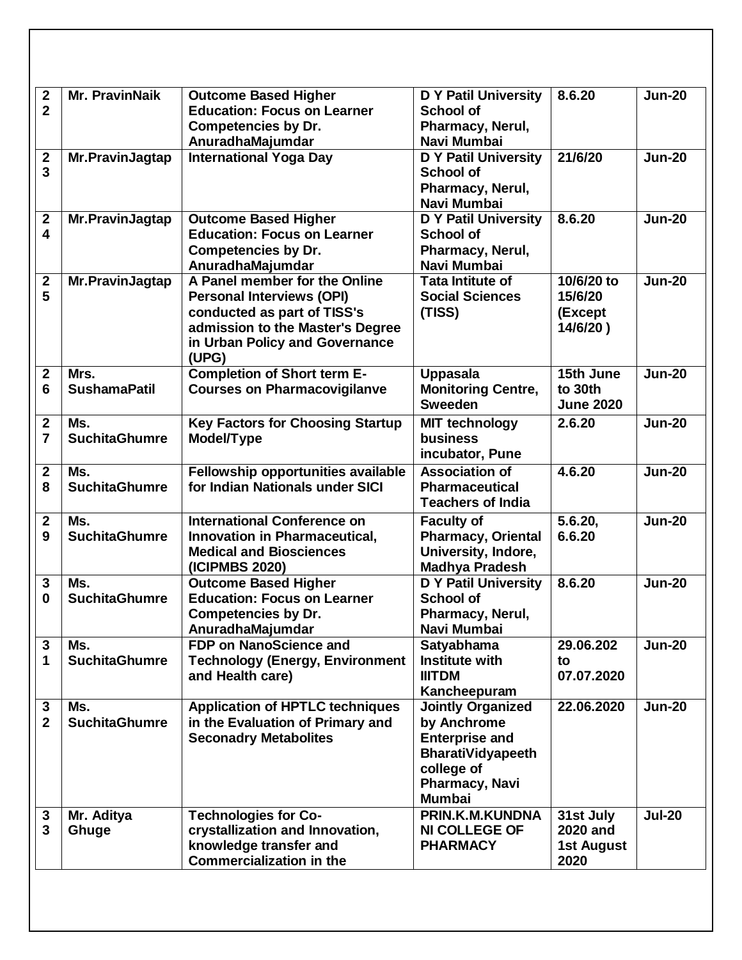| $\mathbf{2}$            | <b>Mr. PravinNaik</b>       | <b>Outcome Based Higher</b>             | <b>D Y Patil University</b> | 8.6.20            | <b>Jun-20</b> |
|-------------------------|-----------------------------|-----------------------------------------|-----------------------------|-------------------|---------------|
| $\overline{2}$          |                             | <b>Education: Focus on Learner</b>      | <b>School of</b>            |                   |               |
|                         |                             | <b>Competencies by Dr.</b>              | Pharmacy, Nerul,            |                   |               |
|                         |                             | AnuradhaMajumdar                        | Navi Mumbai                 |                   |               |
| $\mathbf 2$             | Mr.PravinJagtap             | <b>International Yoga Day</b>           | <b>D Y Patil University</b> | 21/6/20           | <b>Jun-20</b> |
| $\overline{3}$          |                             |                                         | <b>School of</b>            |                   |               |
|                         |                             |                                         | Pharmacy, Nerul,            |                   |               |
|                         |                             |                                         | Navi Mumbai                 |                   |               |
| $\mathbf 2$             | Mr.PravinJagtap             | <b>Outcome Based Higher</b>             | <b>D</b> Y Patil University | 8.6.20            | <b>Jun-20</b> |
| $\overline{\mathbf{4}}$ |                             | <b>Education: Focus on Learner</b>      | <b>School of</b>            |                   |               |
|                         |                             | <b>Competencies by Dr.</b>              | Pharmacy, Nerul,            |                   |               |
|                         |                             | AnuradhaMajumdar                        | Navi Mumbai                 |                   |               |
| $\mathbf 2$             | Mr.PravinJagtap             | A Panel member for the Online           | <b>Tata Intitute of</b>     | 10/6/20 to        | <b>Jun-20</b> |
| 5                       |                             | <b>Personal Interviews (OPI)</b>        | <b>Social Sciences</b>      | 15/6/20           |               |
|                         |                             | conducted as part of TISS's             | (TISS)                      | (Except           |               |
|                         |                             | admission to the Master's Degree        |                             | 14/6/20)          |               |
|                         |                             | in Urban Policy and Governance          |                             |                   |               |
|                         |                             | (UPG)                                   |                             | 15th June         |               |
| $\mathbf 2$             | Mrs.<br><b>SushamaPatil</b> | <b>Completion of Short term E-</b>      | <b>Uppasala</b>             |                   | <b>Jun-20</b> |
| 6                       |                             | <b>Courses on Pharmacovigilanve</b>     | <b>Monitoring Centre,</b>   | to 30th           |               |
|                         |                             |                                         | <b>Sweeden</b>              | <b>June 2020</b>  |               |
| $\mathbf 2$             | Ms.                         | <b>Key Factors for Choosing Startup</b> | <b>MIT technology</b>       | 2.6.20            | <b>Jun-20</b> |
| $\overline{7}$          | <b>SuchitaGhumre</b>        | Model/Type                              | <b>business</b>             |                   |               |
|                         |                             |                                         | incubator, Pune             |                   |               |
| $\mathbf{2}$            | Ms.                         | Fellowship opportunities available      | <b>Association of</b>       | 4.6.20            | <b>Jun-20</b> |
| 8                       | <b>SuchitaGhumre</b>        | for Indian Nationals under SICI         | <b>Pharmaceutical</b>       |                   |               |
|                         |                             |                                         | <b>Teachers of India</b>    |                   |               |
| $\mathbf 2$             | Ms.                         | <b>International Conference on</b>      | <b>Faculty of</b>           | 5.6.20,           | <b>Jun-20</b> |
| 9                       | <b>SuchitaGhumre</b>        | Innovation in Pharmaceutical,           | <b>Pharmacy, Oriental</b>   | 6.6.20            |               |
|                         |                             | <b>Medical and Biosciences</b>          | University, Indore,         |                   |               |
|                         |                             | (ICIPMBS 2020)                          | <b>Madhya Pradesh</b>       |                   |               |
| 3                       | Ms.                         | <b>Outcome Based Higher</b>             | <b>D Y Patil University</b> | 8.6.20            | <b>Jun-20</b> |
| 0                       | <b>SuchitaGhumre</b>        | <b>Education: Focus on Learner</b>      | <b>School of</b>            |                   |               |
|                         |                             | <b>Competencies by Dr.</b>              | Pharmacy, Nerul,            |                   |               |
|                         |                             | AnuradhaMajumdar                        | Navi Mumbai                 |                   |               |
| 3                       | Ms.                         | FDP on NanoScience and                  | Satyabhama                  | 29.06.202         | <b>Jun-20</b> |
| 1                       | <b>SuchitaGhumre</b>        | <b>Technology (Energy, Environment</b>  | <b>Institute with</b>       | to                |               |
|                         |                             | and Health care)                        | <b>IIITDM</b>               | 07.07.2020        |               |
|                         |                             |                                         | Kancheepuram                |                   |               |
| 3                       | Ms.                         | <b>Application of HPTLC techniques</b>  | <b>Jointly Organized</b>    | 22.06.2020        | <b>Jun-20</b> |
| $\mathbf{2}$            | <b>SuchitaGhumre</b>        | in the Evaluation of Primary and        | by Anchrome                 |                   |               |
|                         |                             | <b>Seconadry Metabolites</b>            | <b>Enterprise and</b>       |                   |               |
|                         |                             |                                         | <b>BharatiVidyapeeth</b>    |                   |               |
|                         |                             |                                         | college of                  |                   |               |
|                         |                             |                                         | Pharmacy, Navi              |                   |               |
|                         |                             |                                         | <b>Mumbai</b>               |                   |               |
| 3                       | Mr. Aditya                  | <b>Technologies for Co-</b>             | PRIN.K.M.KUNDNA             | 31st July         | <b>Jul-20</b> |
| 3                       | Ghuge                       | crystallization and Innovation,         | <b>NI COLLEGE OF</b>        | 2020 and          |               |
|                         |                             | knowledge transfer and                  | <b>PHARMACY</b>             | <b>1st August</b> |               |
|                         |                             | <b>Commercialization in the</b>         |                             | 2020              |               |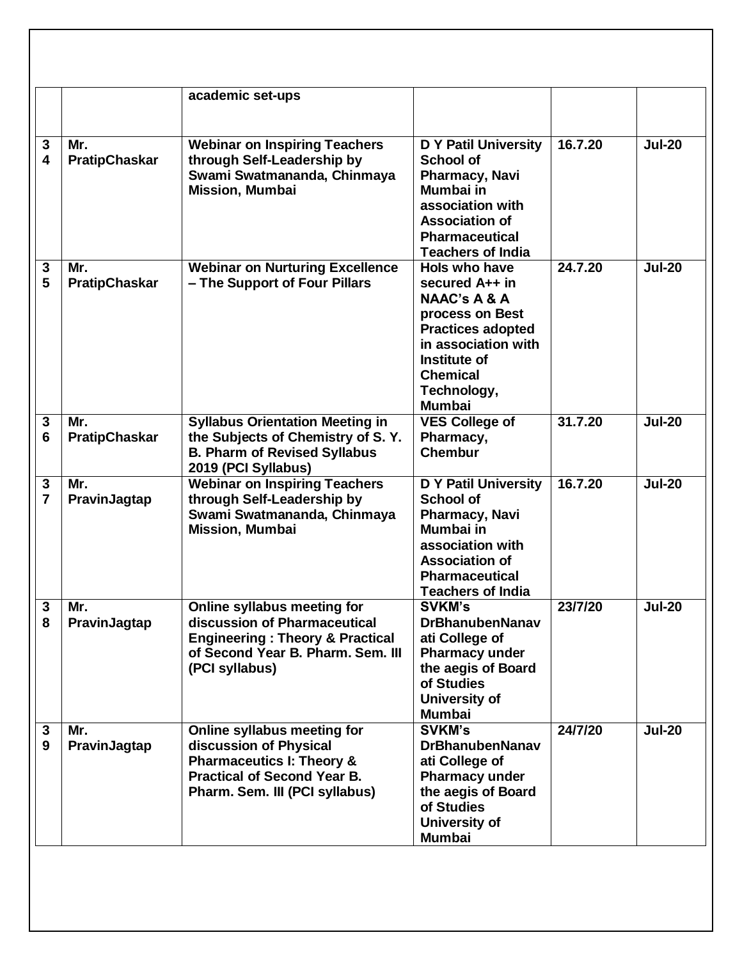|                     |                             | academic set-ups                                                                                                                                                      |                                                                                                                                                                                                     |         |               |
|---------------------|-----------------------------|-----------------------------------------------------------------------------------------------------------------------------------------------------------------------|-----------------------------------------------------------------------------------------------------------------------------------------------------------------------------------------------------|---------|---------------|
| 3<br>4              | Mr.<br><b>PratipChaskar</b> | <b>Webinar on Inspiring Teachers</b><br>through Self-Leadership by<br>Swami Swatmananda, Chinmaya<br><b>Mission, Mumbai</b>                                           | <b>D</b> Y Patil University<br><b>School of</b><br><b>Pharmacy, Navi</b><br>Mumbai in<br>association with<br><b>Association of</b><br><b>Pharmaceutical</b><br><b>Teachers of India</b>             | 16.7.20 | <b>Jul-20</b> |
| 3<br>5              | Mr.<br><b>PratipChaskar</b> | <b>Webinar on Nurturing Excellence</b><br>- The Support of Four Pillars                                                                                               | Hols who have<br>secured A++ in<br><b>NAAC's A &amp; A</b><br>process on Best<br><b>Practices adopted</b><br>in association with<br>Institute of<br><b>Chemical</b><br>Technology,<br><b>Mumbai</b> | 24.7.20 | <b>Jul-20</b> |
| 3<br>6              | Mr.<br><b>PratipChaskar</b> | <b>Syllabus Orientation Meeting in</b><br>the Subjects of Chemistry of S.Y.<br><b>B. Pharm of Revised Syllabus</b><br>2019 (PCI Syllabus)                             | <b>VES College of</b><br>Pharmacy,<br><b>Chembur</b>                                                                                                                                                | 31.7.20 | <b>Jul-20</b> |
| 3<br>$\overline{7}$ | Mr.<br><b>PravinJagtap</b>  | <b>Webinar on Inspiring Teachers</b><br>through Self-Leadership by<br>Swami Swatmananda, Chinmaya<br><b>Mission, Mumbai</b>                                           | <b>D Y Patil University</b><br><b>School of</b><br>Pharmacy, Navi<br>Mumbai in<br>association with<br><b>Association of</b><br><b>Pharmaceutical</b><br><b>Teachers of India</b>                    | 16.7.20 | <b>Jul-20</b> |
| $\mathbf{3}$<br>8   | Mr.<br>PravinJagtap         | Online syllabus meeting for<br>discussion of Pharmaceutical<br><b>Engineering: Theory &amp; Practical</b><br>of Second Year B. Pharm. Sem. III<br>(PCI syllabus)      | <b>SVKM's</b><br><b>DrBhanubenNanav</b><br>ati College of<br><b>Pharmacy under</b><br>the aegis of Board<br>of Studies<br>University of<br><b>Mumbai</b>                                            | 23/7/20 | <b>Jul-20</b> |
| 3<br>9              | Mr.<br>PravinJagtap         | Online syllabus meeting for<br>discussion of Physical<br><b>Pharmaceutics I: Theory &amp;</b><br><b>Practical of Second Year B.</b><br>Pharm. Sem. III (PCI syllabus) | <b>SVKM's</b><br><b>DrBhanubenNanav</b><br>ati College of<br>Pharmacy under<br>the aegis of Board<br>of Studies<br>University of<br><b>Mumbai</b>                                                   | 24/7/20 | <b>Jul-20</b> |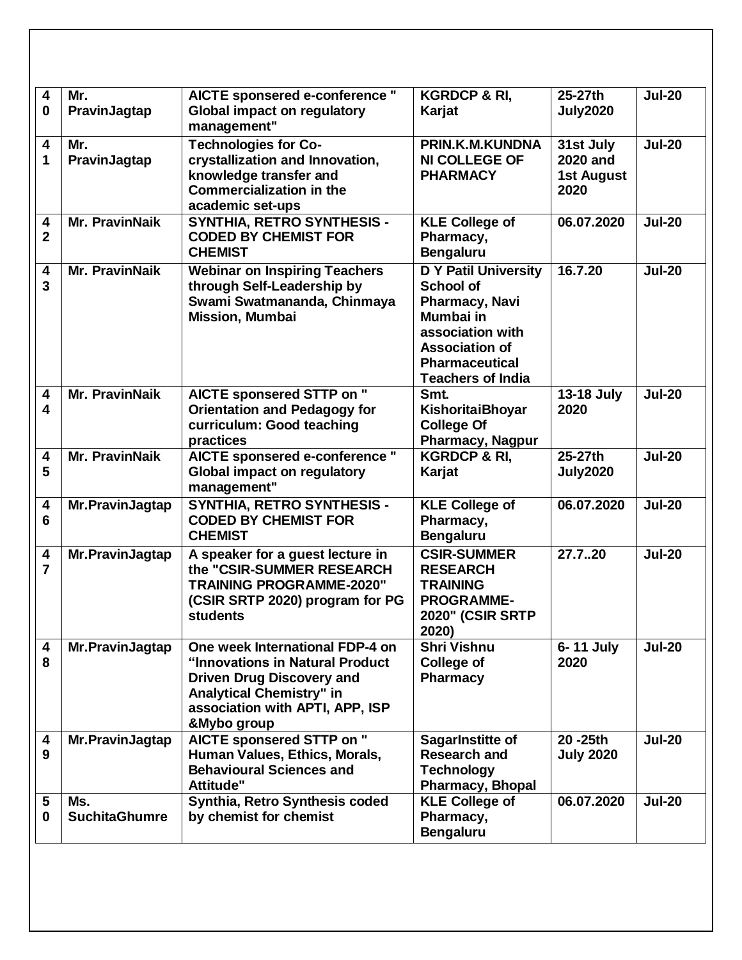| $\overline{\mathbf{4}}$<br>$\bf{0}$ | Mr.<br>PravinJagtap         | AICTE sponsered e-conference "<br><b>Global impact on regulatory</b><br>management"                                                                                                         | <b>KGRDCP &amp; RI,</b><br>Karjat                                                                                                                                                | 25-27th<br><b>July2020</b>                                | <b>Jul-20</b> |
|-------------------------------------|-----------------------------|---------------------------------------------------------------------------------------------------------------------------------------------------------------------------------------------|----------------------------------------------------------------------------------------------------------------------------------------------------------------------------------|-----------------------------------------------------------|---------------|
| 4<br>1                              | Mr.<br>PravinJagtap         | <b>Technologies for Co-</b><br>crystallization and Innovation,<br>knowledge transfer and<br><b>Commercialization in the</b><br>academic set-ups                                             | PRIN.K.M.KUNDNA<br><b>NI COLLEGE OF</b><br><b>PHARMACY</b>                                                                                                                       | 31st July<br><b>2020 and</b><br><b>1st August</b><br>2020 | <b>Jul-20</b> |
| 4<br>$\overline{2}$                 | <b>Mr. PravinNaik</b>       | <b>SYNTHIA, RETRO SYNTHESIS -</b><br><b>CODED BY CHEMIST FOR</b><br><b>CHEMIST</b>                                                                                                          | <b>KLE College of</b><br>Pharmacy,<br><b>Bengaluru</b>                                                                                                                           | 06.07.2020                                                | <b>Jul-20</b> |
| 4<br>3                              | <b>Mr. PravinNaik</b>       | <b>Webinar on Inspiring Teachers</b><br>through Self-Leadership by<br>Swami Swatmananda, Chinmaya<br><b>Mission, Mumbai</b>                                                                 | <b>D Y Patil University</b><br><b>School of</b><br>Pharmacy, Navi<br>Mumbai in<br>association with<br><b>Association of</b><br><b>Pharmaceutical</b><br><b>Teachers of India</b> | 16.7.20                                                   | <b>Jul-20</b> |
| 4<br>$\overline{\mathbf{4}}$        | <b>Mr. PravinNaik</b>       | AICTE sponsered STTP on "<br><b>Orientation and Pedagogy for</b><br>curriculum: Good teaching<br>practices                                                                                  | Smt.<br>KishoritaiBhoyar<br><b>College Of</b><br><b>Pharmacy, Nagpur</b>                                                                                                         | 13-18 July<br>2020                                        | <b>Jul-20</b> |
| 4<br>5                              | <b>Mr. PravinNaik</b>       | AICTE sponsered e-conference "<br><b>Global impact on regulatory</b><br>management"                                                                                                         | <b>KGRDCP &amp; RI,</b><br>Karjat                                                                                                                                                | 25-27th<br><b>July2020</b>                                | <b>Jul-20</b> |
| 4<br>6                              | Mr.PravinJagtap             | SYNTHIA, RETRO SYNTHESIS -<br><b>CODED BY CHEMIST FOR</b><br><b>CHEMIST</b>                                                                                                                 | <b>KLE College of</b><br>Pharmacy,<br><b>Bengaluru</b>                                                                                                                           | 06.07.2020                                                | <b>Jul-20</b> |
| 4<br>$\overline{7}$                 | Mr.PravinJagtap             | A speaker for a guest lecture in<br>the "CSIR-SUMMER RESEARCH<br><b>TRAINING PROGRAMME-2020"</b><br>(CSIR SRTP 2020) program for PG<br><b>students</b>                                      | <b>CSIR-SUMMER</b><br><b>RESEARCH</b><br><b>TRAINING</b><br><b>PROGRAMME-</b><br><b>2020" (CSIR SRTP</b><br>2020)                                                                | 27.720                                                    | <b>Jul-20</b> |
| 4<br>8                              | Mr.PravinJagtap             | One week International FDP-4 on<br>"Innovations in Natural Product<br><b>Driven Drug Discovery and</b><br><b>Analytical Chemistry" in</b><br>association with APTI, APP, ISP<br>&Mybo group | <b>Shri Vishnu</b><br><b>College of</b><br><b>Pharmacy</b>                                                                                                                       | 6-11 July<br>2020                                         | <b>Jul-20</b> |
| 4<br>9                              | Mr.PravinJagtap             | AICTE sponsered STTP on "<br>Human Values, Ethics, Morals,<br><b>Behavioural Sciences and</b><br>Attitude"                                                                                  | SagarInstitte of<br><b>Research and</b><br><b>Technology</b><br><b>Pharmacy, Bhopal</b>                                                                                          | 20 - 25th<br><b>July 2020</b>                             | <b>Jul-20</b> |
| 5<br>$\bf{0}$                       | Ms.<br><b>SuchitaGhumre</b> | Synthia, Retro Synthesis coded<br>by chemist for chemist                                                                                                                                    | <b>KLE College of</b><br>Pharmacy,<br><b>Bengaluru</b>                                                                                                                           | 06.07.2020                                                | <b>Jul-20</b> |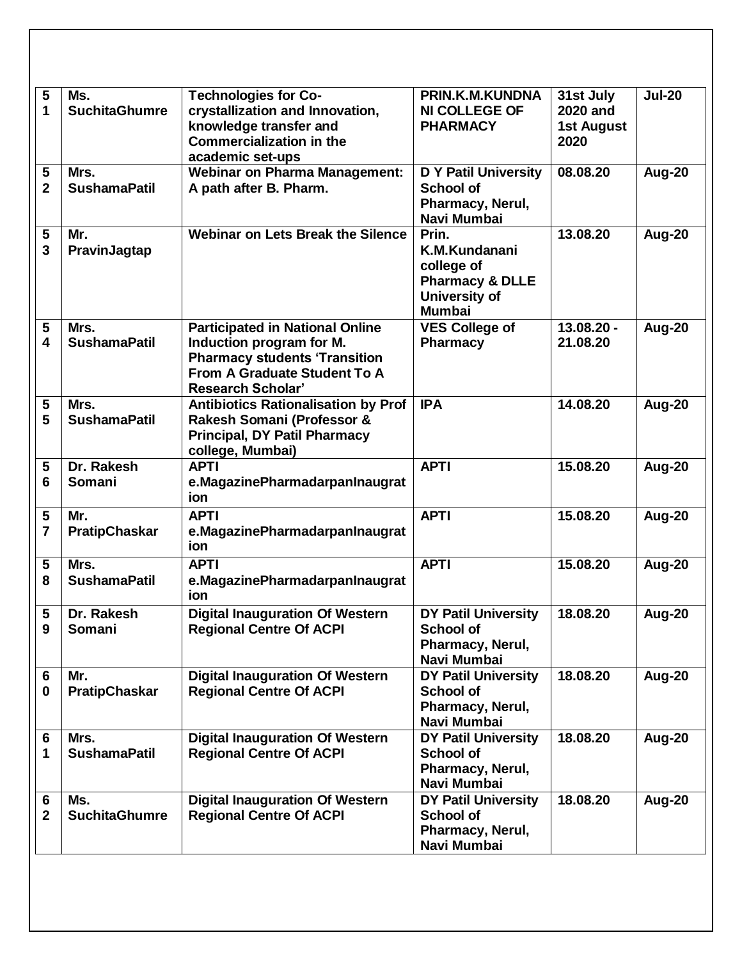| 5<br>1              | Ms.<br><b>SuchitaGhumre</b> | <b>Technologies for Co-</b><br>crystallization and Innovation,<br>knowledge transfer and<br><b>Commercialization in the</b><br>academic set-ups                        | PRIN.K.M.KUNDNA<br><b>NI COLLEGE OF</b><br><b>PHARMACY</b>                                           | 31st July<br><b>2020 and</b><br>1st August<br>2020 | <b>Jul-20</b> |
|---------------------|-----------------------------|------------------------------------------------------------------------------------------------------------------------------------------------------------------------|------------------------------------------------------------------------------------------------------|----------------------------------------------------|---------------|
| 5<br>$\overline{2}$ | Mrs.<br><b>SushamaPatil</b> | <b>Webinar on Pharma Management:</b><br>A path after B. Pharm.                                                                                                         | <b>D Y Patil University</b><br><b>School of</b><br>Pharmacy, Nerul,<br>Navi Mumbai                   | 08.08.20                                           | Aug-20        |
| 5<br>3              | Mr.<br>PravinJagtap         | Webinar on Lets Break the Silence                                                                                                                                      | Prin.<br>K.M.Kundanani<br>college of<br><b>Pharmacy &amp; DLLE</b><br>University of<br><b>Mumbai</b> | 13.08.20                                           | <b>Aug-20</b> |
| 5<br>4              | Mrs.<br><b>SushamaPatil</b> | <b>Participated in National Online</b><br>Induction program for M.<br><b>Pharmacy students 'Transition</b><br>From A Graduate Student To A<br><b>Research Scholar'</b> | <b>VES College of</b><br><b>Pharmacy</b>                                                             | 13.08.20 -<br>21.08.20                             | <b>Aug-20</b> |
| 5<br>5              | Mrs.<br><b>SushamaPatil</b> | <b>Antibiotics Rationalisation by Prof</b><br>Rakesh Somani (Professor &<br><b>Principal, DY Patil Pharmacy</b><br>college, Mumbai)                                    | <b>IPA</b>                                                                                           | 14.08.20                                           | <b>Aug-20</b> |
| 5<br>6              | Dr. Rakesh<br>Somani        | <b>APTI</b><br>e.MagazinePharmadarpanInaugrat<br>ion                                                                                                                   | <b>APTI</b>                                                                                          | 15.08.20                                           | Aug-20        |
| 5<br>7              | Mr.<br><b>PratipChaskar</b> | <b>APTI</b><br>e.MagazinePharmadarpanInaugrat<br>ion                                                                                                                   | <b>APTI</b>                                                                                          | 15.08.20                                           | <b>Aug-20</b> |
| 5<br>8              | Mrs.<br><b>SushamaPatil</b> | <b>APTI</b><br>e.MagazinePharmadarpanInaugrat<br>ion                                                                                                                   | <b>APTI</b>                                                                                          | 15.08.20                                           | Aug-20        |
| 5<br>9              | Dr. Rakesh<br>Somani        | <b>Digital Inauguration Of Western</b><br><b>Regional Centre Of ACPI</b>                                                                                               | <b>DY Patil University</b><br><b>School of</b><br>Pharmacy, Nerul,<br>Navi Mumbai                    | 18.08.20                                           | Aug-20        |
| 6<br>$\mathbf 0$    | Mr.<br><b>PratipChaskar</b> | <b>Digital Inauguration Of Western</b><br><b>Regional Centre Of ACPI</b>                                                                                               | <b>DY Patil University</b><br><b>School of</b><br>Pharmacy, Nerul,<br>Navi Mumbai                    | 18.08.20                                           | Aug-20        |
| 6<br>1              | Mrs.<br><b>SushamaPatil</b> | <b>Digital Inauguration Of Western</b><br><b>Regional Centre Of ACPI</b>                                                                                               | <b>DY Patil University</b><br><b>School of</b><br>Pharmacy, Nerul,<br>Navi Mumbai                    | 18.08.20                                           | Aug-20        |
| 6<br>$\mathbf{2}$   | Ms.<br><b>SuchitaGhumre</b> | <b>Digital Inauguration Of Western</b><br><b>Regional Centre Of ACPI</b>                                                                                               | <b>DY Patil University</b><br><b>School of</b><br>Pharmacy, Nerul,<br>Navi Mumbai                    | 18.08.20                                           | Aug-20        |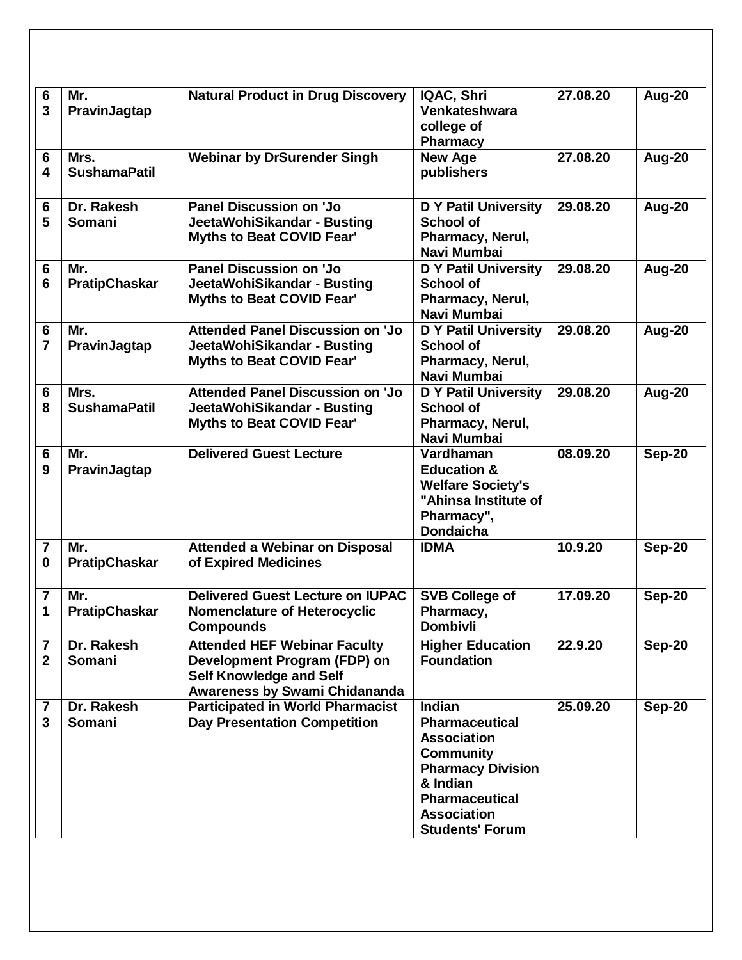| 6                            | Mr.                         | <b>Natural Product in Drug Discovery</b>                                                                                                      | IQAC, Shri                                                                                                                                                                                        | 27.08.20 | Aug-20        |
|------------------------------|-----------------------------|-----------------------------------------------------------------------------------------------------------------------------------------------|---------------------------------------------------------------------------------------------------------------------------------------------------------------------------------------------------|----------|---------------|
| 3                            | PravinJagtap                |                                                                                                                                               | Venkateshwara<br>college of<br><b>Pharmacy</b>                                                                                                                                                    |          |               |
| 6<br>4                       | Mrs.<br><b>SushamaPatil</b> | <b>Webinar by DrSurender Singh</b>                                                                                                            | <b>New Age</b><br>publishers                                                                                                                                                                      | 27.08.20 | Aug-20        |
| 6<br>5                       | Dr. Rakesh<br><b>Somani</b> | Panel Discussion on 'Jo<br>JeetaWohiSikandar - Busting<br><b>Myths to Beat COVID Fear'</b>                                                    | <b>D Y Patil University</b><br><b>School of</b><br>Pharmacy, Nerul,<br>Navi Mumbai                                                                                                                | 29.08.20 | <b>Aug-20</b> |
| 6<br>6                       | Mr.<br><b>PratipChaskar</b> | <b>Panel Discussion on 'Jo</b><br>JeetaWohiSikandar - Busting<br><b>Myths to Beat COVID Fear'</b>                                             | <b>D Y Patil University</b><br><b>School of</b><br>Pharmacy, Nerul,<br>Navi Mumbai                                                                                                                | 29.08.20 | <b>Aug-20</b> |
| 6<br>$\overline{7}$          | Mr.<br>PravinJagtap         | <b>Attended Panel Discussion on 'Jo</b><br>JeetaWohiSikandar - Busting<br>Myths to Beat COVID Fear'                                           | <b>D</b> Y Patil University<br><b>School of</b><br>Pharmacy, Nerul,<br>Navi Mumbai                                                                                                                | 29.08.20 | <b>Aug-20</b> |
| 6<br>8                       | Mrs.<br><b>SushamaPatil</b> | <b>Attended Panel Discussion on 'Jo</b><br>JeetaWohiSikandar - Busting<br>Myths to Beat COVID Fear'                                           | <b>D</b> Y Patil University<br><b>School of</b><br>Pharmacy, Nerul,<br>Navi Mumbai                                                                                                                | 29.08.20 | <b>Aug-20</b> |
| 6<br>9                       | Mr.<br>PravinJagtap         | <b>Delivered Guest Lecture</b>                                                                                                                | Vardhaman<br><b>Education &amp;</b><br><b>Welfare Society's</b><br>"Ahinsa Institute of<br>Pharmacy",<br><b>Dondaicha</b>                                                                         | 08.09.20 | <b>Sep-20</b> |
| $\overline{7}$<br>$\bf{0}$   | Mr.<br><b>PratipChaskar</b> | <b>Attended a Webinar on Disposal</b><br>of Expired Medicines                                                                                 | <b>IDMA</b>                                                                                                                                                                                       | 10.9.20  | Sep-20        |
| $\overline{7}$<br>1          | Mr.<br><b>PratipChaskar</b> | <b>Delivered Guest Lecture on IUPAC</b><br><b>Nomenclature of Heterocyclic</b><br><b>Compounds</b>                                            | <b>SVB College of</b><br>Pharmacy,<br><b>Dombivli</b>                                                                                                                                             | 17.09.20 | Sep-20        |
| 7<br>$\mathbf{2}$            | Dr. Rakesh<br>Somani        | <b>Attended HEF Webinar Faculty</b><br>Development Program (FDP) on<br><b>Self Knowledge and Self</b><br><b>Awareness by Swami Chidananda</b> | <b>Higher Education</b><br><b>Foundation</b>                                                                                                                                                      | 22.9.20  | <b>Sep-20</b> |
| $\overline{\mathbf{7}}$<br>3 | Dr. Rakesh<br>Somani        | <b>Participated in World Pharmacist</b><br><b>Day Presentation Competition</b>                                                                | <b>Indian</b><br><b>Pharmaceutical</b><br><b>Association</b><br><b>Community</b><br><b>Pharmacy Division</b><br>& Indian<br><b>Pharmaceutical</b><br><b>Association</b><br><b>Students' Forum</b> | 25.09.20 | <b>Sep-20</b> |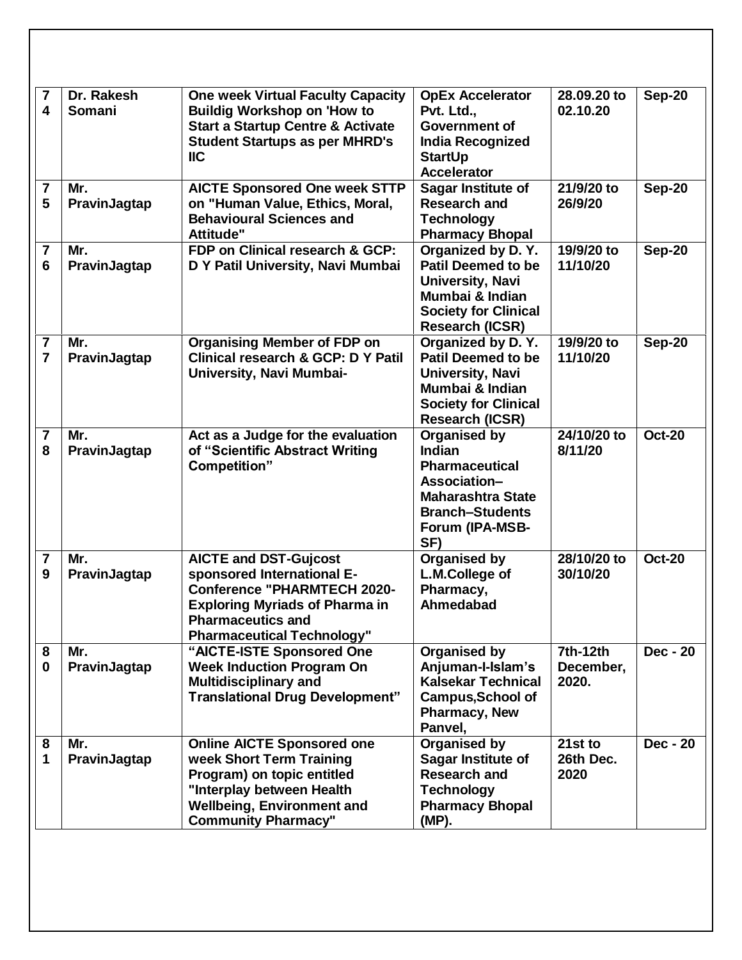| 7<br>$\overline{\mathbf{4}}$              | Dr. Rakesh<br><b>Somani</b> | <b>One week Virtual Faculty Capacity</b><br><b>Buildig Workshop on 'How to</b><br><b>Start a Startup Centre &amp; Activate</b><br><b>Student Startups as per MHRD's</b><br>$\mathsf{IIC}$                  | <b>OpEx Accelerator</b><br>Pvt. Ltd.,<br><b>Government of</b><br><b>India Recognized</b><br><b>StartUp</b><br><b>Accelerator</b>                              | 28.09.20 to<br>02.10.20        | $Sep-20$        |
|-------------------------------------------|-----------------------------|------------------------------------------------------------------------------------------------------------------------------------------------------------------------------------------------------------|---------------------------------------------------------------------------------------------------------------------------------------------------------------|--------------------------------|-----------------|
| $\overline{7}$<br>5                       | Mr.<br>PravinJagtap         | <b>AICTE Sponsored One week STTP</b><br>on "Human Value, Ethics, Moral,<br><b>Behavioural Sciences and</b><br>Attitude"                                                                                    | Sagar Institute of<br><b>Research and</b><br><b>Technology</b><br><b>Pharmacy Bhopal</b>                                                                      | 21/9/20 to<br>26/9/20          | <b>Sep-20</b>   |
| $\overline{7}$<br>6                       | Mr.<br>PravinJagtap         | FDP on Clinical research & GCP:<br>D Y Patil University, Navi Mumbai                                                                                                                                       | Organized by D.Y.<br><b>Patil Deemed to be</b><br>University, Navi<br>Mumbai & Indian<br><b>Society for Clinical</b><br><b>Research (ICSR)</b>                | 19/9/20 to<br>11/10/20         | <b>Sep-20</b>   |
| $\overline{\mathbf{7}}$<br>$\overline{7}$ | Mr.<br>PravinJagtap         | <b>Organising Member of FDP on</b><br><b>Clinical research &amp; GCP: D Y Patil</b><br>University, Navi Mumbai-                                                                                            | Organized by D.Y.<br>Patil Deemed to be<br>University, Navi<br>Mumbai & Indian<br><b>Society for Clinical</b><br><b>Research (ICSR)</b>                       | 19/9/20 to<br>11/10/20         | <b>Sep-20</b>   |
| $\overline{\mathbf{7}}$<br>8              | Mr.<br>PravinJagtap         | Act as a Judge for the evaluation<br>of "Scientific Abstract Writing<br><b>Competition</b> "                                                                                                               | <b>Organised by</b><br><b>Indian</b><br><b>Pharmaceutical</b><br>Association-<br><b>Maharashtra State</b><br><b>Branch-Students</b><br>Forum (IPA-MSB-<br>SF) | 24/10/20 to<br>8/11/20         | <b>Oct-20</b>   |
| $\overline{\mathbf{7}}$<br>9              | Mr.<br>PravinJagtap         | <b>AICTE and DST-Gujcost</b><br>sponsored International E-<br><b>Conference "PHARMTECH 2020-</b><br><b>Exploring Myriads of Pharma in</b><br><b>Pharmaceutics and</b><br><b>Pharmaceutical Technology"</b> | <b>Organised by</b><br>L.M.College of<br>Pharmacy,<br>Ahmedabad                                                                                               | 28/10/20 to<br>30/10/20        | <b>Oct-20</b>   |
| 8<br>$\bf{0}$                             | Mr.<br>PravinJagtap         | "AICTE-ISTE Sponsored One<br><b>Week Induction Program On</b><br><b>Multidisciplinary and</b><br><b>Translational Drug Development"</b>                                                                    | <b>Organised by</b><br>Anjuman-I-Islam's<br><b>Kalsekar Technical</b><br><b>Campus, School of</b><br><b>Pharmacy, New</b><br>Panvel,                          | 7th-12th<br>December,<br>2020. | <b>Dec - 20</b> |
| 8<br>1                                    | Mr.<br>PravinJagtap         | <b>Online AICTE Sponsored one</b><br>week Short Term Training<br>Program) on topic entitled<br>"Interplay between Health<br><b>Wellbeing, Environment and</b><br><b>Community Pharmacy"</b>                | <b>Organised by</b><br>Sagar Institute of<br><b>Research and</b><br><b>Technology</b><br><b>Pharmacy Bhopal</b><br>(MP).                                      | 21st to<br>26th Dec.<br>2020   | <b>Dec - 20</b> |